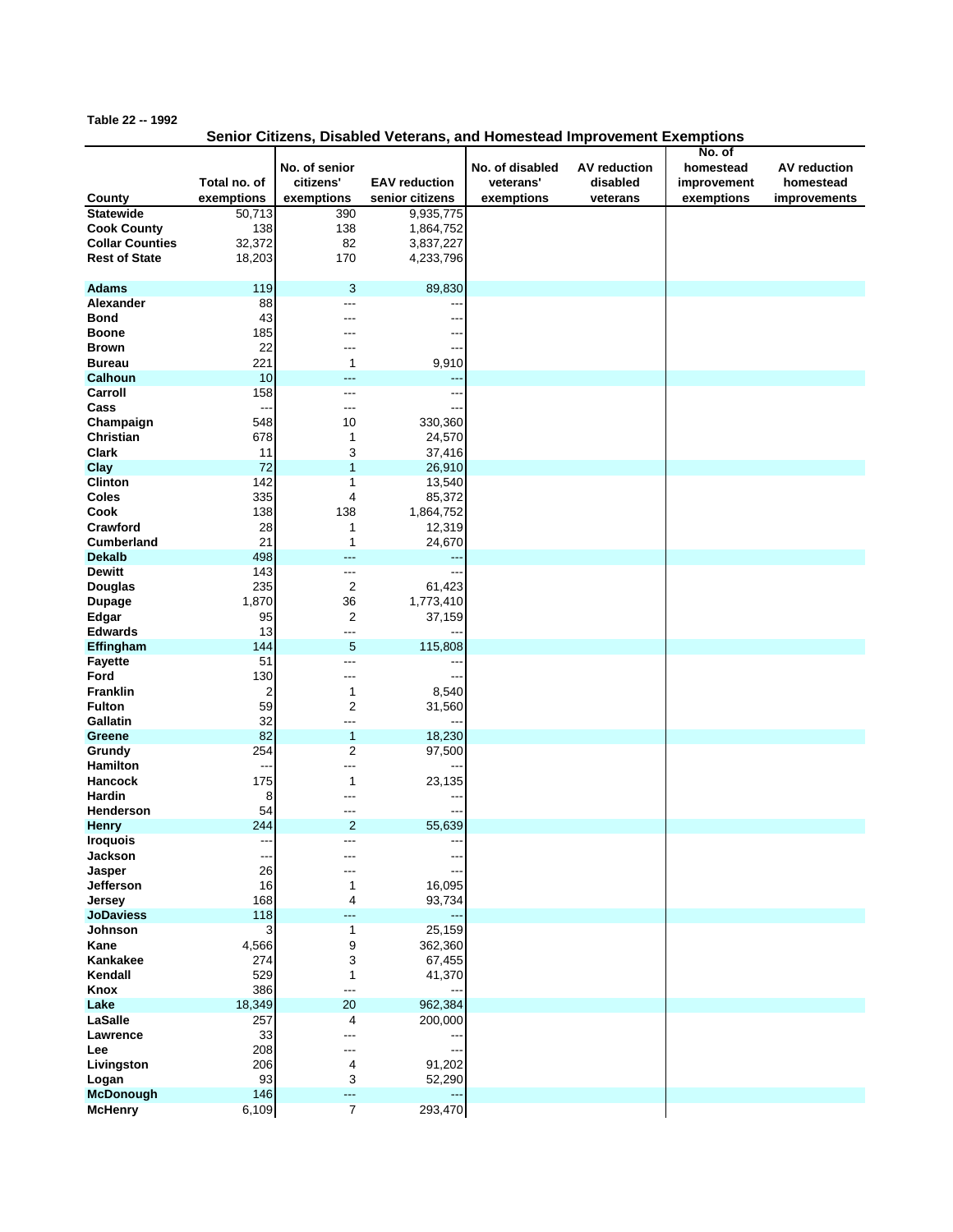## **Table 22 -- 1992**

## **Senior Citizens, Disabled Veterans, and Homestead Improvement Exemptions**

|                            |              |                         |                          |                 |                     | No. of      |                     |
|----------------------------|--------------|-------------------------|--------------------------|-----------------|---------------------|-------------|---------------------|
|                            |              | No. of senior           |                          | No. of disabled | <b>AV reduction</b> | homestead   | <b>AV</b> reduction |
|                            | Total no. of | citizens'               | <b>EAV</b> reduction     | veterans'       | disabled            | improvement | homestead           |
| County                     | exemptions   | exemptions              | senior citizens          | exemptions      | veterans            | exemptions  | improvements        |
| <b>Statewide</b>           | 50,713       | 390                     | 9,935,775                |                 |                     |             |                     |
| <b>Cook County</b>         | 138          | 138                     | 1,864,752                |                 |                     |             |                     |
| <b>Collar Counties</b>     | 32,372       | 82                      | 3,837,227                |                 |                     |             |                     |
| <b>Rest of State</b>       | 18,203       | 170                     | 4,233,796                |                 |                     |             |                     |
|                            |              |                         |                          |                 |                     |             |                     |
| <b>Adams</b>               | 119          | 3                       | 89,830                   |                 |                     |             |                     |
| Alexander                  | 88           | ---                     |                          |                 |                     |             |                     |
| <b>Bond</b>                | 43           |                         |                          |                 |                     |             |                     |
| <b>Boone</b>               | 185          | ---                     |                          |                 |                     |             |                     |
| <b>Brown</b>               | 22           | ---                     | ---                      |                 |                     |             |                     |
| <b>Bureau</b>              | 221          | $\mathbf 1$             | 9,910                    |                 |                     |             |                     |
| Calhoun                    | 10           | ---                     | ---                      |                 |                     |             |                     |
| Carroll                    | 158          | ---                     | --                       |                 |                     |             |                     |
| Cass                       | ---          | ---                     |                          |                 |                     |             |                     |
| Champaign                  | 548          | 10                      | 330,360                  |                 |                     |             |                     |
| Christian                  | 678          | 1                       | 24,570                   |                 |                     |             |                     |
| <b>Clark</b>               | 11           | 3                       | 37,416                   |                 |                     |             |                     |
| Clay                       | 72           | 1                       | 26,910                   |                 |                     |             |                     |
| <b>Clinton</b>             | 142          | 1                       | 13,540                   |                 |                     |             |                     |
| Coles                      | 335          | 4                       | 85,372                   |                 |                     |             |                     |
| Cook                       | 138          | 138                     | 1,864,752                |                 |                     |             |                     |
| Crawford                   | 28           | 1                       | 12,319                   |                 |                     |             |                     |
| <b>Cumberland</b>          | 21           | 1                       | 24,670                   |                 |                     |             |                     |
| <b>Dekalb</b>              | 498          | ---                     | 44                       |                 |                     |             |                     |
| <b>Dewitt</b>              | 143          | ---                     |                          |                 |                     |             |                     |
| Douglas                    | 235          | $\overline{2}$          | 61,423                   |                 |                     |             |                     |
| <b>Dupage</b>              | 1,870        | 36                      | 1,773,410                |                 |                     |             |                     |
| Edgar                      | 95           | $\overline{2}$          | 37,159                   |                 |                     |             |                     |
| <b>Edwards</b>             | 13           | ---                     | ---                      |                 |                     |             |                     |
| Effingham                  | 144          | 5                       | 115,808                  |                 |                     |             |                     |
| <b>Fayette</b>             | 51           | ---                     |                          |                 |                     |             |                     |
| Ford                       | 130          | ---                     | $\overline{\phantom{a}}$ |                 |                     |             |                     |
| <b>Franklin</b>            | 2            | 1                       | 8,540                    |                 |                     |             |                     |
| <b>Fulton</b>              | 59           | $\overline{2}$          | 31,560                   |                 |                     |             |                     |
| Gallatin                   | 32           | ---                     | --                       |                 |                     |             |                     |
| Greene                     | 82           | $\mathbf{1}$            | 18,230                   |                 |                     |             |                     |
| Grundy                     | 254          | $\overline{2}$          | 97,500                   |                 |                     |             |                     |
| <b>Hamilton</b>            | ---          | ---                     |                          |                 |                     |             |                     |
| <b>Hancock</b>             | 175          | 1                       | 23,135                   |                 |                     |             |                     |
| Hardin                     | 8            | ---                     | --                       |                 |                     |             |                     |
| Henderson                  | 54           | ---                     |                          |                 |                     |             |                     |
| <b>Henry</b>               | 244          | $\overline{2}$          | 55,639                   |                 |                     |             |                     |
| <b>Iroquois</b>            |              |                         |                          |                 |                     |             |                     |
| Jackson                    | $---$        | ---                     | ---                      |                 |                     |             |                     |
| Jasper<br>Jefferson        | 26           | ---                     | --                       |                 |                     |             |                     |
|                            | 16           | 1                       | 16,095                   |                 |                     |             |                     |
| Jersey<br><b>JoDaviess</b> | 168<br>118   | 4<br>---                | 93,734                   |                 |                     |             |                     |
| Johnson                    | 3            | 1                       | ---<br>25,159            |                 |                     |             |                     |
| Kane                       | 4,566        | 9                       | 362,360                  |                 |                     |             |                     |
| Kankakee                   | 274          | 3                       | 67,455                   |                 |                     |             |                     |
| Kendall                    | 529          | 1                       | 41,370                   |                 |                     |             |                     |
| Knox                       | 386          | ---                     |                          |                 |                     |             |                     |
| Lake                       | 18,349       | 20                      | 962,384                  |                 |                     |             |                     |
| LaSalle                    | 257          | $\overline{\mathbf{4}}$ | 200,000                  |                 |                     |             |                     |
| Lawrence                   | 33           | ---                     |                          |                 |                     |             |                     |
| Lee                        | 208          | ---                     | ---                      |                 |                     |             |                     |
| Livingston                 | 206          | 4                       | 91,202                   |                 |                     |             |                     |
| Logan                      | 93           | 3                       | 52,290                   |                 |                     |             |                     |
| <b>McDonough</b>           | 146          | ---                     | ---                      |                 |                     |             |                     |
| <b>McHenry</b>             | 6,109        | $\overline{7}$          | 293,470                  |                 |                     |             |                     |